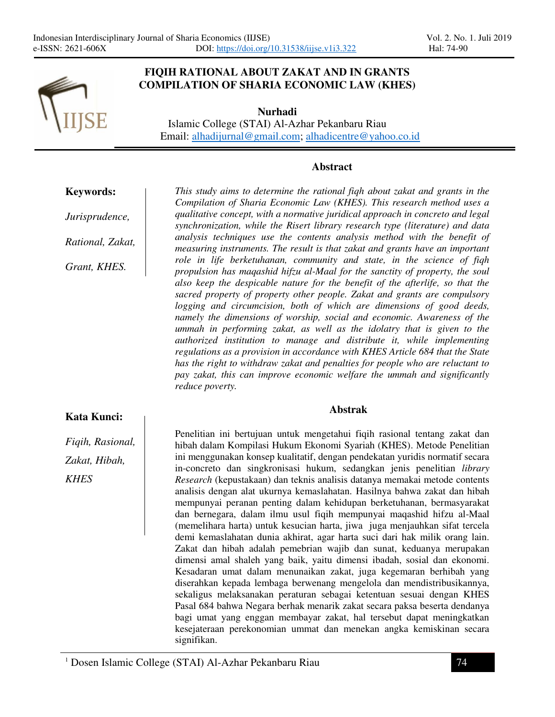

### **FIQIH RATIONAL ABOUT ZAKAT AND IN GRANTS COMPILATION OF SHARIA ECONOMIC LAW (KHES)**

**Nurhadi**  Islamic College (STAI) Al-Azhar Pekanbaru Riau Email: alhadijurnal@gmail.com; alhadicentre@yahoo.co.id

### **Abstract**

**Keywords:**

*Jurisprudence,* 

*Rational, Zakat,* 

*Grant, KHES.*

*This study aims to determine the rational fiqh about zakat and grants in the Compilation of Sharia Economic Law (KHES). This research method uses a qualitative concept, with a normative juridical approach in concreto and legal synchronization, while the Risert library research type (literature) and data analysis techniques use the contents analysis method with the benefit of measuring instruments. The result is that zakat and grants have an important role in life berketuhanan, community and state, in the science of fiqh propulsion has maqashid hifzu al-Maal for the sanctity of property, the soul also keep the despicable nature for the benefit of the afterlife, so that the sacred property of property other people. Zakat and grants are compulsory logging and circumcision, both of which are dimensions of good deeds, namely the dimensions of worship, social and economic. Awareness of the ummah in performing zakat, as well as the idolatry that is given to the authorized institution to manage and distribute it, while implementing regulations as a provision in accordance with KHES Article 684 that the State has the right to withdraw zakat and penalties for people who are reluctant to pay zakat, this can improve economic welfare the ummah and significantly reduce poverty.* 

#### **Abstrak**

*Fiqih, Rasional, Zakat, Hibah, KHES*

**Kata Kunci:**

Penelitian ini bertujuan untuk mengetahui fiqih rasional tentang zakat dan hibah dalam Kompilasi Hukum Ekonomi Syariah (KHES). Metode Penelitian ini menggunakan konsep kualitatif, dengan pendekatan yuridis normatif secara in-concreto dan singkronisasi hukum, sedangkan jenis penelitian *library Research* (kepustakaan) dan teknis analisis datanya memakai metode contents analisis dengan alat ukurnya kemaslahatan. Hasilnya bahwa zakat dan hibah mempunyai peranan penting dalam kehidupan berketuhanan, bermasyarakat dan bernegara, dalam ilmu usul fiqih mempunyai maqashid hifzu al-Maal (memelihara harta) untuk kesucian harta, jiwa juga menjauhkan sifat tercela demi kemaslahatan dunia akhirat, agar harta suci dari hak milik orang lain. Zakat dan hibah adalah pemebrian wajib dan sunat, keduanya merupakan dimensi amal shaleh yang baik, yaitu dimensi ibadah, sosial dan ekonomi. Kesadaran umat dalam menunaikan zakat, juga kegemaran berhibah yang diserahkan kepada lembaga berwenang mengelola dan mendistribusikannya, sekaligus melaksanakan peraturan sebagai ketentuan sesuai dengan KHES Pasal 684 bahwa Negara berhak menarik zakat secara paksa beserta dendanya bagi umat yang enggan membayar zakat, hal tersebut dapat meningkatkan kesejateraan perekonomian ummat dan menekan angka kemiskinan secara signifikan.

<sup>1</sup> Dosen Islamic College (STAI) Al-Azhar Pekanbaru Riau 74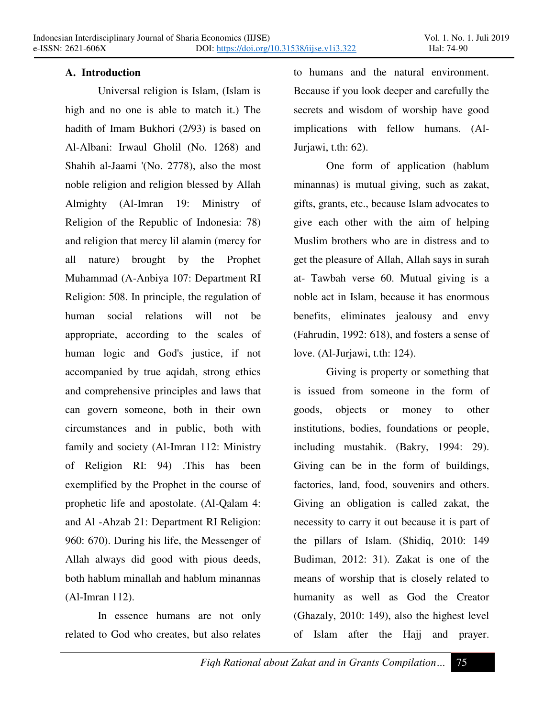## **A. Introduction**

Ī

Universal religion is Islam, (Islam is high and no one is able to match it.) The hadith of Imam Bukhori (2/93) is based on Al-Albani: Irwaul Gholil (No. 1268) and Shahih al-Jaami '(No. 2778), also the most noble religion and religion blessed by Allah Almighty (Al-Imran 19: Ministry of Religion of the Republic of Indonesia: 78) and religion that mercy lil alamin (mercy for all nature) brought by the Prophet Muhammad (A-Anbiya 107: Department RI Religion: 508. In principle, the regulation of human social relations will not be appropriate, according to the scales of human logic and God's justice, if not accompanied by true aqidah, strong ethics and comprehensive principles and laws that can govern someone, both in their own circumstances and in public, both with family and society (Al-Imran 112: Ministry of Religion RI: 94) .This has been exemplified by the Prophet in the course of prophetic life and apostolate. (Al-Qalam 4: and Al -Ahzab 21: Department RI Religion: 960: 670). During his life, the Messenger of Allah always did good with pious deeds, both hablum minallah and hablum minannas (Al-Imran 112).

In essence humans are not only related to God who creates, but also relates to humans and the natural environment. Because if you look deeper and carefully the secrets and wisdom of worship have good implications with fellow humans. (Al-Jurjawi, t.th: 62).

One form of application (hablum minannas) is mutual giving, such as zakat, gifts, grants, etc., because Islam advocates to give each other with the aim of helping Muslim brothers who are in distress and to get the pleasure of Allah, Allah says in surah at- Tawbah verse 60. Mutual giving is a noble act in Islam, because it has enormous benefits, eliminates jealousy and envy (Fahrudin, 1992: 618), and fosters a sense of love. (Al-Jurjawi, t.th: 124).

Giving is property or something that is issued from someone in the form of goods, objects or money to other institutions, bodies, foundations or people, including mustahik. (Bakry, 1994: 29). Giving can be in the form of buildings, factories, land, food, souvenirs and others. Giving an obligation is called zakat, the necessity to carry it out because it is part of the pillars of Islam. (Shidiq, 2010: 149 Budiman, 2012: 31). Zakat is one of the means of worship that is closely related to humanity as well as God the Creator (Ghazaly, 2010: 149), also the highest level of Islam after the Hajj and prayer.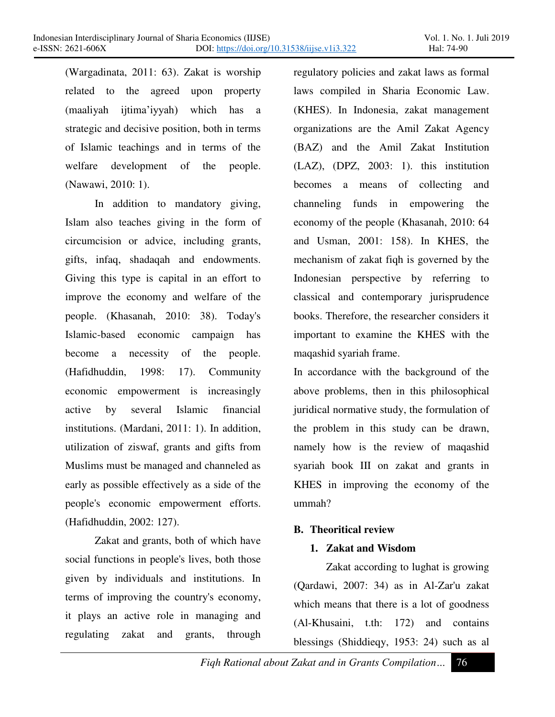(Wargadinata, 2011: 63). Zakat is worship related to the agreed upon property  $(maaliyah\ ijitima'iyyah)$  which has a strategic and decisive position, both in terms of Islamic teachings and in terms of the welfare development of the people. (Nawawi, 2010: 1).

Ī

In addition to mandatory giving, Islam also teaches giving in the form of circumcision or advice, including grants, gifts, infaq, shadaqah and endowments. Giving this type is capital in an effort to improve the economy and welfare of the people. (Khasanah, 2010: 38). Today's Islamic-based economic campaign has become a necessity of the people. (Hafidhuddin, 1998: 17). Community economic empowerment is increasingly active by several Islamic financial institutions. (Mardani, 2011: 1). In addition, utilization of ziswaf, grants and gifts from Muslims must be managed and channeled as early as possible effectively as a side of the people's economic empowerment efforts. (Hafidhuddin, 2002: 127).

Zakat and grants, both of which have social functions in people's lives, both those given by individuals and institutions. In terms of improving the country's economy, it plays an active role in managing and regulating zakat and grants, through regulatory policies and zakat laws as formal laws compiled in Sharia Economic Law. (KHES). In Indonesia, zakat management organizations are the Amil Zakat Agency (BAZ) and the Amil Zakat Institution (LAZ), (DPZ, 2003: 1). this institution becomes a means of collecting and channeling funds in empowering the economy of the people (Khasanah, 2010: 64 and Usman, 2001: 158). In KHES, the mechanism of zakat fiqh is governed by the Indonesian perspective by referring to classical and contemporary jurisprudence books. Therefore, the researcher considers it important to examine the KHES with the maqashid syariah frame.

In accordance with the background of the above problems, then in this philosophical juridical normative study, the formulation of the problem in this study can be drawn, namely how is the review of maqashid syariah book III on zakat and grants in KHES in improving the economy of the ummah?

## **B. Theoritical review**

## **1. Zakat and Wisdom**

Zakat according to lughat is growing (Qardawi, 2007: 34) as in Al-Zar'u zakat which means that there is a lot of goodness (Al-Khusaini, t.th: 172) and contains blessings (Shiddieqy, 1953: 24) such as al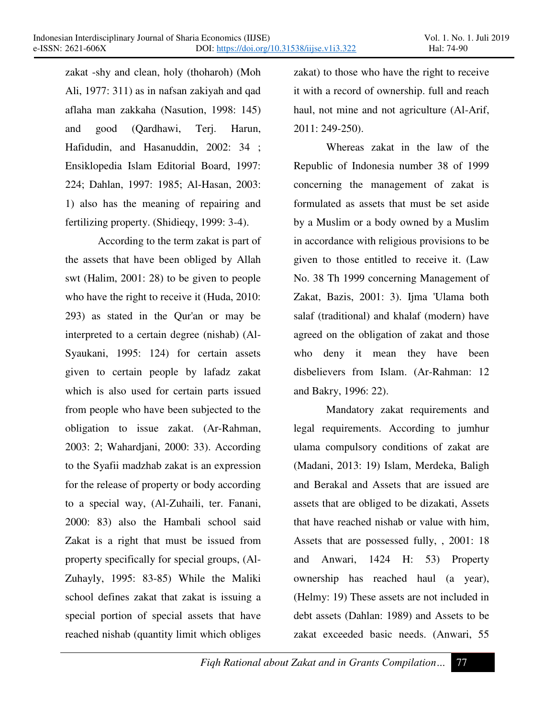zakat -shy and clean, holy (thoharoh) (Moh Ali, 1977: 311) as in nafsan zakiyah and qad aflaha man zakkaha (Nasution, 1998: 145) and good (Qardhawi, Terj. Harun, Hafidudin, and Hasanuddin, 2002: 34 ; Ensiklopedia Islam Editorial Board, 1997: 224; Dahlan, 1997: 1985; Al-Hasan, 2003: 1) also has the meaning of repairing and fertilizing property. (Shidieqy, 1999: 3-4).

Ī

According to the term zakat is part of the assets that have been obliged by Allah swt (Halim, 2001: 28) to be given to people who have the right to receive it (Huda, 2010: 293) as stated in the Qur'an or may be interpreted to a certain degree (nishab) (Al-Syaukani, 1995: 124) for certain assets given to certain people by lafadz zakat which is also used for certain parts issued from people who have been subjected to the obligation to issue zakat. (Ar-Rahman, 2003: 2; Wahardjani, 2000: 33). According to the Syafii madzhab zakat is an expression for the release of property or body according to a special way, (Al-Zuhaili, ter. Fanani, 2000: 83) also the Hambali school said Zakat is a right that must be issued from property specifically for special groups, (Al-Zuhayly, 1995: 83-85) While the Maliki school defines zakat that zakat is issuing a special portion of special assets that have reached nishab (quantity limit which obliges

zakat) to those who have the right to receive it with a record of ownership. full and reach haul, not mine and not agriculture (Al-Arif, 2011: 249-250).

Whereas zakat in the law of the Republic of Indonesia number 38 of 1999 concerning the management of zakat is formulated as assets that must be set aside by a Muslim or a body owned by a Muslim in accordance with religious provisions to be given to those entitled to receive it. (Law No. 38 Th 1999 concerning Management of Zakat, Bazis, 2001: 3). Ijma 'Ulama both salaf (traditional) and khalaf (modern) have agreed on the obligation of zakat and those who deny it mean they have been disbelievers from Islam. (Ar-Rahman: 12 and Bakry, 1996: 22).

Mandatory zakat requirements and legal requirements. According to jumhur ulama compulsory conditions of zakat are (Madani, 2013: 19) Islam, Merdeka, Baligh and Berakal and Assets that are issued are assets that are obliged to be dizakati, Assets that have reached nishab or value with him, Assets that are possessed fully, , 2001: 18 and Anwari, 1424 H: 53) Property ownership has reached haul (a year), (Helmy: 19) These assets are not included in debt assets (Dahlan: 1989) and Assets to be zakat exceeded basic needs. (Anwari, 55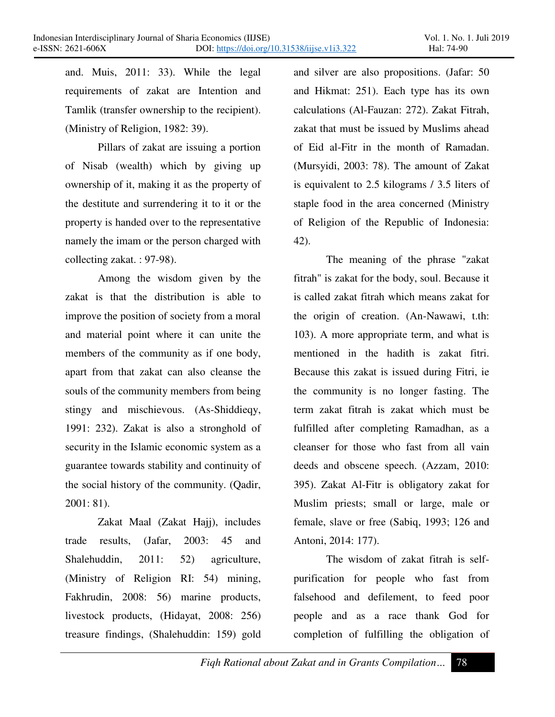and. Muis, 2011: 33). While the legal requirements of zakat are Intention and Tamlik (transfer ownership to the recipient). (Ministry of Religion, 1982: 39).

Ī

Pillars of zakat are issuing a portion of Nisab (wealth) which by giving up ownership of it, making it as the property of the destitute and surrendering it to it or the property is handed over to the representative namely the imam or the person charged with collecting zakat. : 97-98).

Among the wisdom given by the zakat is that the distribution is able to improve the position of society from a moral and material point where it can unite the members of the community as if one body, apart from that zakat can also cleanse the souls of the community members from being stingy and mischievous. (As-Shiddieqy, 1991: 232). Zakat is also a stronghold of security in the Islamic economic system as a guarantee towards stability and continuity of the social history of the community. (Qadir, 2001: 81).

Zakat Maal (Zakat Hajj), includes trade results, (Jafar, 2003: 45 and Shalehuddin, 2011: 52) agriculture, (Ministry of Religion RI: 54) mining, Fakhrudin, 2008: 56) marine products, livestock products, (Hidayat, 2008: 256) treasure findings, (Shalehuddin: 159) gold and silver are also propositions. (Jafar: 50 and Hikmat: 251). Each type has its own calculations (Al-Fauzan: 272). Zakat Fitrah, zakat that must be issued by Muslims ahead of Eid al-Fitr in the month of Ramadan. (Mursyidi, 2003: 78). The amount of Zakat is equivalent to 2.5 kilograms / 3.5 liters of staple food in the area concerned (Ministry of Religion of the Republic of Indonesia: 42).

The meaning of the phrase "zakat fitrah" is zakat for the body, soul. Because it is called zakat fitrah which means zakat for the origin of creation. (An-Nawawi, t.th: 103). A more appropriate term, and what is mentioned in the hadith is zakat fitri. Because this zakat is issued during Fitri, ie the community is no longer fasting. The term zakat fitrah is zakat which must be fulfilled after completing Ramadhan, as a cleanser for those who fast from all vain deeds and obscene speech. (Azzam, 2010: 395). Zakat Al-Fitr is obligatory zakat for Muslim priests; small or large, male or female, slave or free (Sabiq, 1993; 126 and Antoni, 2014: 177).

The wisdom of zakat fitrah is selfpurification for people who fast from falsehood and defilement, to feed poor people and as a race thank God for completion of fulfilling the obligation of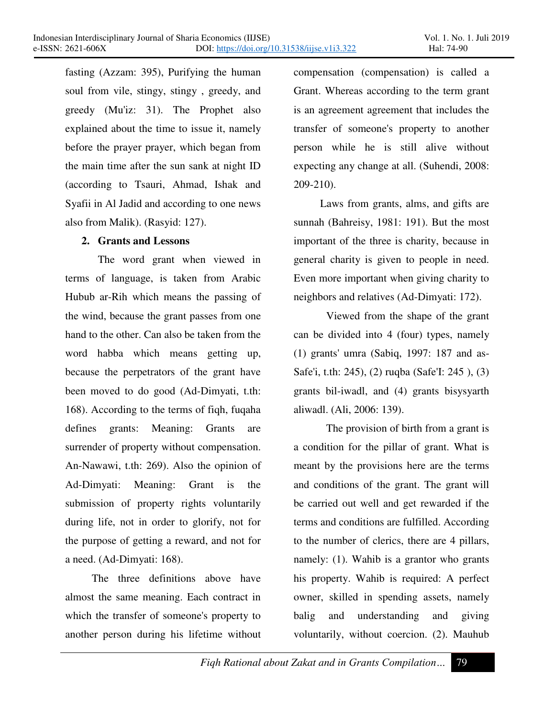fasting (Azzam: 395), Purifying the human soul from vile, stingy, stingy , greedy, and greedy (Mu'iz: 31). The Prophet also explained about the time to issue it, namely before the prayer prayer, which began from the main time after the sun sank at night ID (according to Tsauri, Ahmad, Ishak and Syafii in Al Jadid and according to one news also from Malik). (Rasyid: 127).

### **2. Grants and Lessons**

Ī

The word grant when viewed in terms of language, is taken from Arabic Hubub ar-Rih which means the passing of the wind, because the grant passes from one hand to the other. Can also be taken from the word habba which means getting up, because the perpetrators of the grant have been moved to do good (Ad-Dimyati, t.th: 168). According to the terms of fiqh, fuqaha defines grants: Meaning: Grants are surrender of property without compensation. An-Nawawi, t.th: 269). Also the opinion of Ad-Dimyati: Meaning: Grant is the submission of property rights voluntarily during life, not in order to glorify, not for the purpose of getting a reward, and not for a need. (Ad-Dimyati: 168).

The three definitions above have almost the same meaning. Each contract in which the transfer of someone's property to another person during his lifetime without compensation (compensation) is called a Grant. Whereas according to the term grant is an agreement agreement that includes the transfer of someone's property to another person while he is still alive without expecting any change at all. (Suhendi, 2008: 209-210).

Laws from grants, alms, and gifts are sunnah (Bahreisy, 1981: 191). But the most important of the three is charity, because in general charity is given to people in need. Even more important when giving charity to neighbors and relatives (Ad-Dimyati: 172).

Viewed from the shape of the grant can be divided into 4 (four) types, namely (1) grants' umra (Sabiq, 1997: 187 and as-Safe'i, t.th: 245), (2) ruqba (Safe'I: 245 ), (3) grants bil-iwadl, and (4) grants bisysyarth aliwadl. (Ali, 2006: 139).

The provision of birth from a grant is a condition for the pillar of grant. What is meant by the provisions here are the terms and conditions of the grant. The grant will be carried out well and get rewarded if the terms and conditions are fulfilled. According to the number of clerics, there are 4 pillars, namely: (1). Wahib is a grantor who grants his property. Wahib is required: A perfect owner, skilled in spending assets, namely balig and understanding and giving voluntarily, without coercion. (2). Mauhub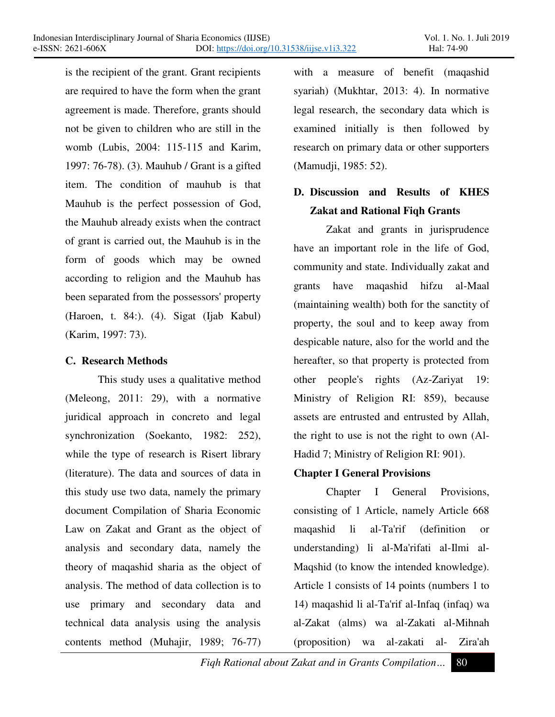is the recipient of the grant. Grant recipients are required to have the form when the grant agreement is made. Therefore, grants should not be given to children who are still in the womb (Lubis, 2004: 115-115 and Karim, 1997: 76-78). (3). Mauhub / Grant is a gifted item. The condition of mauhub is that Mauhub is the perfect possession of God, the Mauhub already exists when the contract of grant is carried out, the Mauhub is in the form of goods which may be owned according to religion and the Mauhub has been separated from the possessors' property (Haroen, t. 84:). (4). Sigat (Ijab Kabul) (Karim, 1997: 73).

## **C. Research Methods**

Ī

This study uses a qualitative method (Meleong, 2011: 29), with a normative juridical approach in concreto and legal synchronization (Soekanto, 1982: 252), while the type of research is Risert library (literature). The data and sources of data in this study use two data, namely the primary document Compilation of Sharia Economic Law on Zakat and Grant as the object of analysis and secondary data, namely the theory of maqashid sharia as the object of analysis. The method of data collection is to use primary and secondary data and technical data analysis using the analysis contents method (Muhajir, 1989; 76-77)

with a measure of benefit (maqashid syariah) (Mukhtar, 2013: 4). In normative legal research, the secondary data which is examined initially is then followed by research on primary data or other supporters (Mamudji, 1985: 52).

# **D. Discussion and Results of KHES Zakat and Rational Fiqh Grants**

Zakat and grants in jurisprudence have an important role in the life of God, community and state. Individually zakat and grants have maqashid hifzu al-Maal (maintaining wealth) both for the sanctity of property, the soul and to keep away from despicable nature, also for the world and the hereafter, so that property is protected from other people's rights (Az-Zariyat 19: Ministry of Religion RI: 859), because assets are entrusted and entrusted by Allah, the right to use is not the right to own (Al-Hadid 7; Ministry of Religion RI: 901).

## **Chapter I General Provisions**

Chapter I General Provisions, consisting of 1 Article, namely Article 668 maqashid li al-Ta'rif (definition or understanding) li al-Ma'rifati al-Ilmi al-Maqshid (to know the intended knowledge). Article 1 consists of 14 points (numbers 1 to 14) maqashid li al-Ta'rif al-Infaq (infaq) wa al-Zakat (alms) wa al-Zakati al-Mihnah (proposition) wa al-zakati al- Zira'ah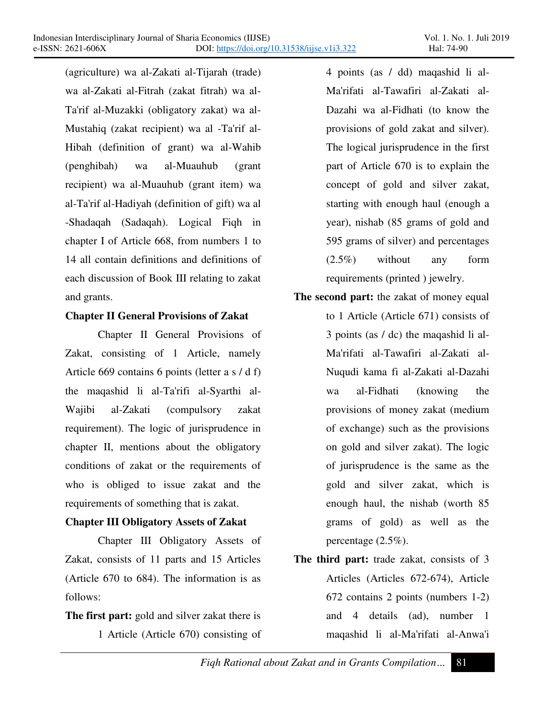(agriculture) wa al-Zakati al-Tijarah (trade) wa al-Zakati al-Fitrah (zakat fitrah) wa al-Ta'rif al-Muzakki (obligatory zakat) wa al-Mustahiq (zakat recipient) wa al -Ta'rif al-Hibah (definition of grant) wa al-Wahib (penghibah) wa al-Muauhub (grant recipient) wa al-Muauhub (grant item) wa al-Ta'rif al-Hadiyah (definition of gift) wa al -Shadaqah (Sadaqah). Logical Fiqh in chapter I of Article 668, from numbers 1 to 14 all contain definitions and definitions of each discussion of Book III relating to zakat and grants.

Ī

# **Chapter II General Provisions of Zakat**

Chapter II General Provisions of Zakat, consisting of 1 Article, namely Article 669 contains 6 points (letter a s / d f) the maqashid li al-Ta'rifi al-Syarthi al-Wajibi al-Zakati (compulsory zakat requirement). The logic of jurisprudence in chapter II, mentions about the obligatory conditions of zakat or the requirements of who is obliged to issue zakat and the requirements of something that is zakat.

## **Chapter III Obligatory Assets of Zakat**

Chapter III Obligatory Assets of Zakat, consists of 11 parts and 15 Articles (Article 670 to 684). The information is as follows:

**The first part:** gold and silver zakat there is 1 Article (Article 670) consisting of 4 points (as / dd) maqashid li al-Ma'rifati al-Tawafiri al-Zakati al-Dazahi wa al-Fidhati (to know the provisions of gold zakat and silver). The logical jurisprudence in the first part of Article 670 is to explain the concept of gold and silver zakat, starting with enough haul (enough a year), nishab (85 grams of gold and 595 grams of silver) and percentages (2.5%) without any form requirements (printed ) jewelry.

- **The second part:** the zakat of money equal to 1 Article (Article 671) consists of 3 points (as / dc) the maqashid li al-Ma'rifati al-Tawafiri al-Zakati al-Nuqudi kama fi al-Zakati al-Dazahi wa al-Fidhati (knowing the provisions of money zakat (medium of exchange) such as the provisions on gold and silver zakat). The logic of jurisprudence is the same as the gold and silver zakat, which is enough haul, the nishab (worth 85 grams of gold) as well as the percentage (2.5%).
- **The third part:** trade zakat, consists of 3 Articles (Articles 672-674), Article 672 contains 2 points (numbers 1-2) and 4 details (ad), number 1 maqashid li al-Ma'rifati al-Anwa'i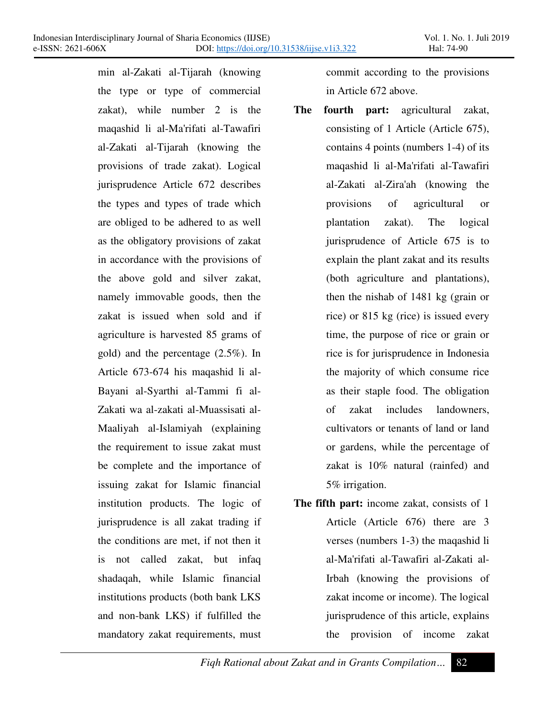Ī

min al-Zakati al-Tijarah (knowing the type or type of commercial zakat), while number 2 is the maqashid li al-Ma'rifati al-Tawafiri al-Zakati al-Tijarah (knowing the provisions of trade zakat). Logical jurisprudence Article 672 describes the types and types of trade which are obliged to be adhered to as well as the obligatory provisions of zakat in accordance with the provisions of the above gold and silver zakat, namely immovable goods, then the zakat is issued when sold and if agriculture is harvested 85 grams of gold) and the percentage (2.5%). In Article 673-674 his maqashid li al-Bayani al-Syarthi al-Tammi fi al-Zakati wa al-zakati al-Muassisati al-Maaliyah al-Islamiyah (explaining the requirement to issue zakat must be complete and the importance of issuing zakat for Islamic financial institution products. The logic of jurisprudence is all zakat trading if the conditions are met, if not then it is not called zakat, but infaq shadaqah, while Islamic financial institutions products (both bank LKS and non-bank LKS) if fulfilled the mandatory zakat requirements, must

commit according to the provisions in Article 672 above.

- **The fourth part:** agricultural zakat, consisting of 1 Article (Article 675), contains 4 points (numbers 1-4) of its maqashid li al-Ma'rifati al-Tawafiri al-Zakati al-Zira'ah (knowing the provisions of agricultural or plantation zakat). The logical jurisprudence of Article 675 is to explain the plant zakat and its results (both agriculture and plantations), then the nishab of 1481 kg (grain or rice) or 815 kg (rice) is issued every time, the purpose of rice or grain or rice is for jurisprudence in Indonesia the majority of which consume rice as their staple food. The obligation of zakat includes landowners, cultivators or tenants of land or land or gardens, while the percentage of zakat is 10% natural (rainfed) and 5% irrigation.
- **The fifth part:** income zakat, consists of 1 Article (Article 676) there are 3 verses (numbers 1-3) the maqashid li al-Ma'rifati al-Tawafiri al-Zakati al-Irbah (knowing the provisions of zakat income or income). The logical jurisprudence of this article, explains the provision of income zakat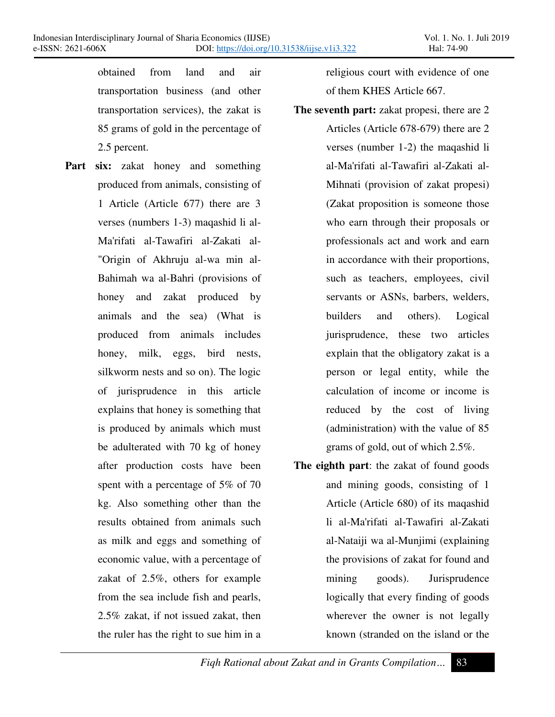obtained from land and air transportation business (and other transportation services), the zakat is 85 grams of gold in the percentage of 2.5 percent.

Ī

**Part six:** zakat honey and something produced from animals, consisting of 1 Article (Article 677) there are 3 verses (numbers 1-3) maqashid li al-Ma'rifati al-Tawafiri al-Zakati al- "Origin of Akhruju al-wa min al-Bahimah wa al-Bahri (provisions of honey and zakat produced by animals and the sea) (What is produced from animals includes honey, milk, eggs, bird nests, silkworm nests and so on). The logic of jurisprudence in this article explains that honey is something that is produced by animals which must be adulterated with 70 kg of honey after production costs have been spent with a percentage of 5% of 70 kg. Also something other than the results obtained from animals such as milk and eggs and something of economic value, with a percentage of zakat of 2.5%, others for example from the sea include fish and pearls, 2.5% zakat, if not issued zakat, then the ruler has the right to sue him in a

religious court with evidence of one of them KHES Article 667.

**The seventh part:** zakat propesi, there are 2

Articles (Article 678-679) there are 2 verses (number 1-2) the maqashid li al-Ma'rifati al-Tawafiri al-Zakati al-Mihnati (provision of zakat propesi) (Zakat proposition is someone those who earn through their proposals or professionals act and work and earn in accordance with their proportions, such as teachers, employees, civil servants or ASNs, barbers, welders, builders and others). Logical jurisprudence, these two articles explain that the obligatory zakat is a person or legal entity, while the calculation of income or income is reduced by the cost of living (administration) with the value of 85 grams of gold, out of which 2.5%.

**The eighth part**: the zakat of found goods and mining goods, consisting of 1 Article (Article 680) of its maqashid li al-Ma'rifati al-Tawafiri al-Zakati al-Nataiji wa al-Munjimi (explaining the provisions of zakat for found and mining goods). Jurisprudence logically that every finding of goods wherever the owner is not legally known (stranded on the island or the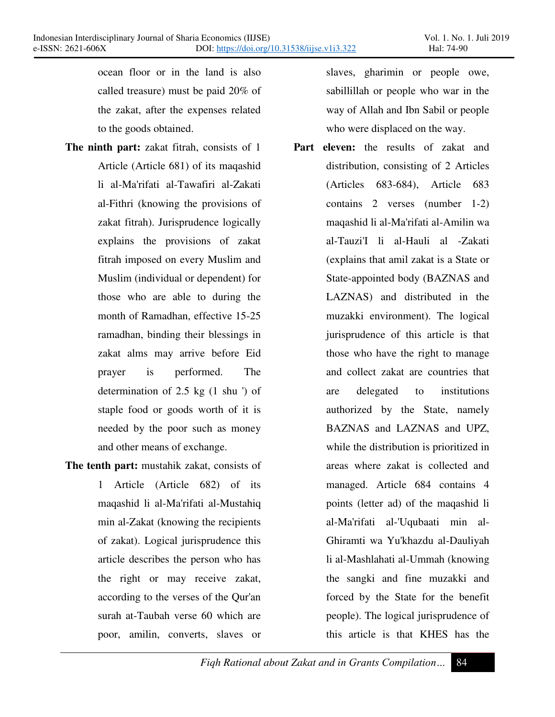ocean floor or in the land is also called treasure) must be paid 20% of the zakat, after the expenses related to the goods obtained.

Ī

- **The ninth part:** zakat fitrah, consists of 1 Article (Article 681) of its maqashid li al-Ma'rifati al-Tawafiri al-Zakati al-Fithri (knowing the provisions of zakat fitrah). Jurisprudence logically explains the provisions of zakat fitrah imposed on every Muslim and Muslim (individual or dependent) for those who are able to during the month of Ramadhan, effective 15-25 ramadhan, binding their blessings in zakat alms may arrive before Eid prayer is performed. The determination of 2.5 kg (1 shu ') of staple food or goods worth of it is needed by the poor such as money and other means of exchange.
- **The tenth part:** mustahik zakat, consists of 1 Article (Article 682) of its maqashid li al-Ma'rifati al-Mustahiq min al-Zakat (knowing the recipients of zakat). Logical jurisprudence this article describes the person who has the right or may receive zakat, according to the verses of the Qur'an surah at-Taubah verse 60 which are poor, amilin, converts, slaves or

slaves, gharimin or people owe, sabillillah or people who war in the way of Allah and Ibn Sabil or people who were displaced on the way.

**Part eleven:** the results of zakat and distribution, consisting of 2 Articles (Articles 683-684), Article 683 contains 2 verses (number 1-2) maqashid li al-Ma'rifati al-Amilin wa al-Tauzi'I li al-Hauli al -Zakati (explains that amil zakat is a State or State-appointed body (BAZNAS and LAZNAS) and distributed in the muzakki environment). The logical jurisprudence of this article is that those who have the right to manage and collect zakat are countries that are delegated to institutions authorized by the State, namely BAZNAS and LAZNAS and UPZ, while the distribution is prioritized in areas where zakat is collected and managed. Article 684 contains 4 points (letter ad) of the maqashid li al-Ma'rifati al-'Uqubaati min al-Ghiramti wa Yu'khazdu al-Dauliyah li al-Mashlahati al-Ummah (knowing the sangki and fine muzakki and forced by the State for the benefit people). The logical jurisprudence of this article is that KHES has the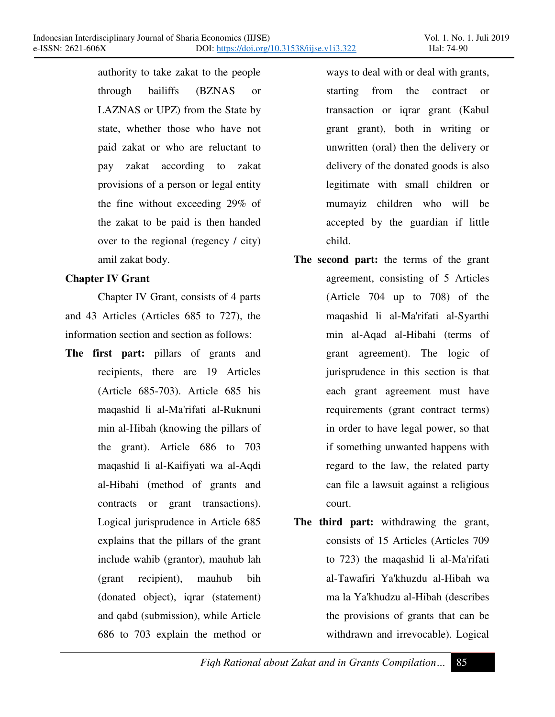authority to take zakat to the people through bailiffs (BZNAS or LAZNAS or UPZ) from the State by state, whether those who have not paid zakat or who are reluctant to pay zakat according to zakat provisions of a person or legal entity the fine without exceeding 29% of the zakat to be paid is then handed over to the regional (regency / city) amil zakat body.

## **Chapter IV Grant**

Ī

Chapter IV Grant, consists of 4 parts and 43 Articles (Articles 685 to 727), the information section and section as follows:

**The first part:** pillars of grants and recipients, there are 19 Articles (Article 685-703). Article 685 his maqashid li al-Ma'rifati al-Ruknuni min al-Hibah (knowing the pillars of the grant). Article 686 to 703 maqashid li al-Kaifiyati wa al-Aqdi al-Hibahi (method of grants and contracts or grant transactions). Logical jurisprudence in Article 685 explains that the pillars of the grant include wahib (grantor), mauhub lah (grant recipient), mauhub bih (donated object), iqrar (statement) and qabd (submission), while Article 686 to 703 explain the method or

ways to deal with or deal with grants, starting from the contract or transaction or iqrar grant (Kabul grant grant), both in writing or unwritten (oral) then the delivery or delivery of the donated goods is also legitimate with small children or mumayiz children who will be accepted by the guardian if little child.

- **The second part:** the terms of the grant agreement, consisting of 5 Articles (Article 704 up to 708) of the maqashid li al-Ma'rifati al-Syarthi min al-Aqad al-Hibahi (terms of grant agreement). The logic of jurisprudence in this section is that each grant agreement must have requirements (grant contract terms) in order to have legal power, so that if something unwanted happens with regard to the law, the related party can file a lawsuit against a religious court.
- **The third part:** withdrawing the grant, consists of 15 Articles (Articles 709 to 723) the maqashid li al-Ma'rifati al-Tawafiri Ya'khuzdu al-Hibah wa ma la Ya'khudzu al-Hibah (describes the provisions of grants that can be withdrawn and irrevocable). Logical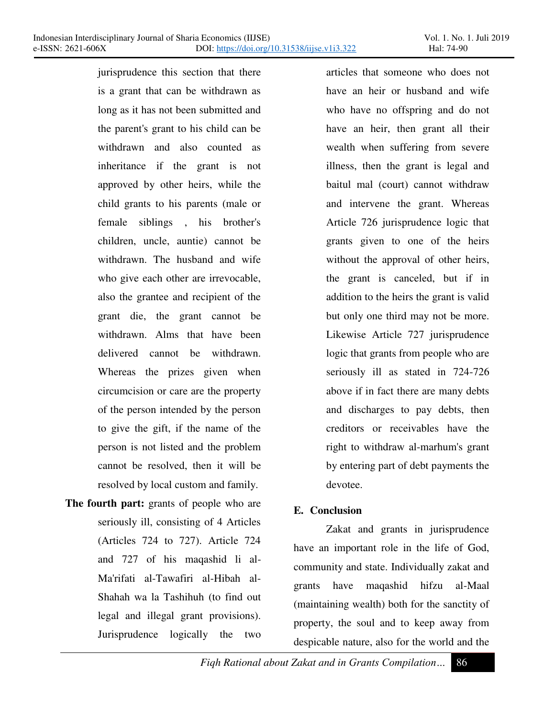Ī

jurisprudence this section that there is a grant that can be withdrawn as long as it has not been submitted and the parent's grant to his child can be withdrawn and also counted as inheritance if the grant is not approved by other heirs, while the child grants to his parents (male or female siblings , his brother's children, uncle, auntie) cannot be withdrawn. The husband and wife who give each other are irrevocable, also the grantee and recipient of the grant die, the grant cannot be withdrawn. Alms that have been delivered cannot be withdrawn. Whereas the prizes given when circumcision or care are the property of the person intended by the person to give the gift, if the name of the person is not listed and the problem cannot be resolved, then it will be resolved by local custom and family.

**The fourth part:** grants of people who are seriously ill, consisting of 4 Articles (Articles 724 to 727). Article 724 and 727 of his maqashid li al-Ma'rifati al-Tawafiri al-Hibah al-Shahah wa la Tashihuh (to find out legal and illegal grant provisions). Jurisprudence logically the two

articles that someone who does not have an heir or husband and wife who have no offspring and do not have an heir, then grant all their wealth when suffering from severe illness, then the grant is legal and baitul mal (court) cannot withdraw and intervene the grant. Whereas Article 726 jurisprudence logic that grants given to one of the heirs without the approval of other heirs, the grant is canceled, but if in addition to the heirs the grant is valid but only one third may not be more. Likewise Article 727 jurisprudence logic that grants from people who are seriously ill as stated in 724-726 above if in fact there are many debts and discharges to pay debts, then creditors or receivables have the right to withdraw al-marhum's grant by entering part of debt payments the devotee.

## **E. Conclusion**

Zakat and grants in jurisprudence have an important role in the life of God, community and state. Individually zakat and grants have maqashid hifzu al-Maal (maintaining wealth) both for the sanctity of property, the soul and to keep away from despicable nature, also for the world and the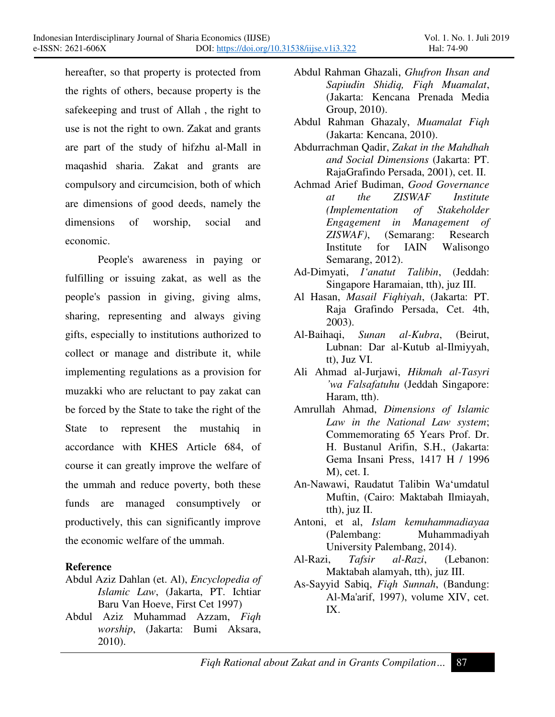hereafter, so that property is protected from the rights of others, because property is the safekeeping and trust of Allah , the right to use is not the right to own. Zakat and grants are part of the study of hifzhu al-Mall in maqashid sharia. Zakat and grants are compulsory and circumcision, both of which are dimensions of good deeds, namely the dimensions of worship, social and economic.

Ī

People's awareness in paying or fulfilling or issuing zakat, as well as the people's passion in giving, giving alms, sharing, representing and always giving gifts, especially to institutions authorized to collect or manage and distribute it, while implementing regulations as a provision for muzakki who are reluctant to pay zakat can be forced by the State to take the right of the State to represent the mustahiq in accordance with KHES Article 684, of course it can greatly improve the welfare of the ummah and reduce poverty, both these funds are managed consumptively or productively, this can significantly improve the economic welfare of the ummah.

## **Reference**

- Abdul Aziz Dahlan (et. Al), *Encyclopedia of Islamic Law*, (Jakarta, PT. Ichtiar Baru Van Hoeve, First Cet 1997)
- Abdul Aziz Muhammad Azzam, *Fiqh worship*, (Jakarta: Bumi Aksara, 2010).
- Abdul Rahman Ghazali, *Ghufron Ihsan and Sapiudin Shidiq, Fiqh Muamalat*, (Jakarta: Kencana Prenada Media Group, 2010).
- Abdul Rahman Ghazaly, *Muamalat Fiqh* (Jakarta: Kencana, 2010).
- Abdurrachman Qadir, *Zakat in the Mahdhah and Social Dimensions* (Jakarta: PT. RajaGrafindo Persada, 2001), cet. II.
- Achmad Arief Budiman, *Good Governance at the ZISWAF Institute (Implementation of Stakeholder Engagement in Management of ZISWAF)*, (Semarang: Research Institute for IAIN Walisongo Semarang, 2012).
- Ad-Dimyati, *I'anatut Talibin*, (Jeddah: Singapore Haramaian, tth), juz III.
- Al Hasan, *Masail Fiqhiyah*, (Jakarta: PT. Raja Grafindo Persada, Cet. 4th, 2003).
- Al-Baihaqi, *Sunan al-Kubra*, (Beirut, Lubnan: Dar al-Kutub al-Ilmiyyah, tt), Juz VI.
- Ali Ahmad al-Jurjawi, *Hikmah al-Tasyri zwa Falsafatuhu* (Jeddah Singapore: Haram, tth).
- Amrullah Ahmad, *Dimensions of Islamic Law in the National Law system*; Commemorating 65 Years Prof. Dr. H. Bustanul Arifin, S.H., (Jakarta: Gema Insani Press, 1417 H / 1996 M), cet. I.
- An-Nawawi, Raudatut Talibin Wa'umdatul Muftin, (Cairo: Maktabah Ilmiayah, tth), juz II.
- Antoni, et al, *Islam kemuhammadiayaa* (Palembang: Muhammadiyah University Palembang, 2014).
- Al-Razi, *Tafsir al-Razi*, (Lebanon: Maktabah alamyah, tth), juz III.
- As-Sayyid Sabiq, *Fiqh Sunnah*, (Bandung: Al-Ma'arif, 1997), volume XIV, cet. IX.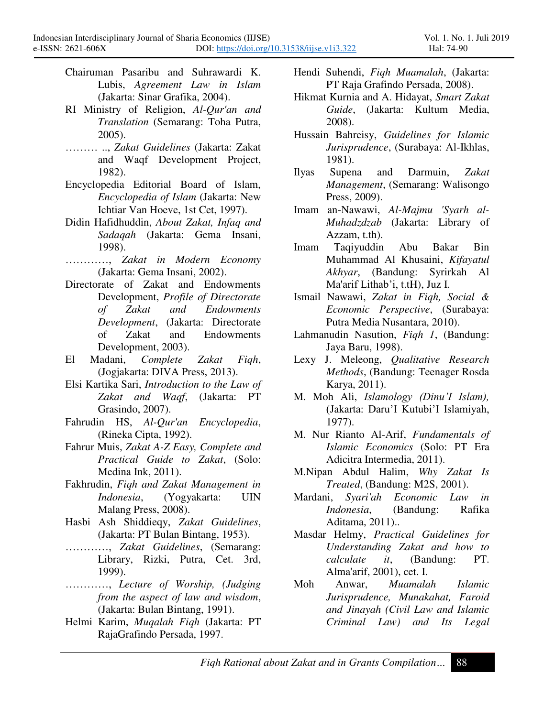Chairuman Pasaribu and Suhrawardi K. Lubis, *Agreement Law in Islam* (Jakarta: Sinar Grafika, 2004).

Ī

- RI Ministry of Religion, *Al-Qur'an and Translation* (Semarang: Toha Putra, 2005).
- ´´´ .., *Zakat Guidelines* (Jakarta: Zakat and Waqf Development Project, 1982).
- Encyclopedia Editorial Board of Islam, *Encyclopedia of Islam* (Jakarta: New Ichtiar Van Hoeve, 1st Cet, 1997).
- Didin Hafidhuddin, *About Zakat, Infaq and Sadaqah* (Jakarta: Gema Insani, 1998).
- $\ldots$ , *Zakat in Modern Economy* (Jakarta: Gema Insani, 2002).
- Directorate of Zakat and Endowments Development, *Profile of Directorate of Zakat and Endowments Development*, (Jakarta: Directorate of Zakat and Endowments Development, 2003).
- El Madani, *Complete Zakat Fiqh*, (Jogjakarta: DIVA Press, 2013).
- Elsi Kartika Sari, *Introduction to the Law of Zakat and Waqf*, (Jakarta: PT Grasindo, 2007).
- Fahrudin HS, *Al-Qur'an Encyclopedia*, (Rineka Cipta, 1992).
- Fahrur Muis, *Zakat A-Z Easy, Complete and Practical Guide to Zakat*, (Solo: Medina Ink, 2011).
- Fakhrudin, *Fiqh and Zakat Management in Indonesia*, (Yogyakarta: UIN Malang Press, 2008).
- Hasbi Ash Shiddieqy, *Zakat Guidelines*, (Jakarta: PT Bulan Bintang, 1953).
- ............, Zakat Guidelines, (Semarang: Library, Rizki, Putra, Cet. 3rd, 1999).
- ............, Lecture of Worship, (Judging *from the aspect of law and wisdom*, (Jakarta: Bulan Bintang, 1991).
- Helmi Karim, *Muqalah Fiqh* (Jakarta: PT RajaGrafindo Persada, 1997.
- Hendi Suhendi, *Fiqh Muamalah*, (Jakarta: PT Raja Grafindo Persada, 2008).
- Hikmat Kurnia and A. Hidayat, *Smart Zakat Guide*, (Jakarta: Kultum Media, 2008).
- Hussain Bahreisy, *Guidelines for Islamic Jurisprudence*, (Surabaya: Al-Ikhlas, 1981).
- Ilyas Supena and Darmuin, *Zakat Management*, (Semarang: Walisongo Press, 2009).
- Imam an-Nawawi, *Al-Majmu 'Syarh al-Muhadzdzab* (Jakarta: Library of Azzam, t.th).
- Imam Taqiyuddin Abu Bakar Bin Muhammad Al Khusaini, *Kifayatul Akhyar*, (Bandung: Syrirkah Al Ma'arif Lithab'i, t.tH), Juz I.
- Ismail Nawawi, *Zakat in Fiqh, Social & Economic Perspective*, (Surabaya: Putra Media Nusantara, 2010).
- Lahmanudin Nasution, *Fiqh 1*, (Bandung: Jaya Baru, 1998).
- Lexy J. Meleong, *Qualitative Research Methods*, (Bandung: Teenager Rosda Karya, 2011).
- M. Moh Ali, *Islamology (Dinu'I Islam)*, (Jakarta: Daru'I Kutubi'I Islamiyah, 1977).
- M. Nur Rianto Al-Arif, *Fundamentals of Islamic Economics* (Solo: PT Era Adicitra Intermedia, 2011).
- M.Nipan Abdul Halim, *Why Zakat Is Treated*, (Bandung: M2S, 2001).
- Mardani, *Syari'ah Economic Law in Indonesia*, (Bandung: Rafika Aditama, 2011)..
- Masdar Helmy, *Practical Guidelines for Understanding Zakat and how to it*, (Bandung: PT. Alma'arif, 2001), cet. I.
- Moh Anwar, *Muamalah Islamic Jurisprudence, Munakahat, Faroid and Jinayah (Civil Law and Islamic Criminal Law) and Its Legal*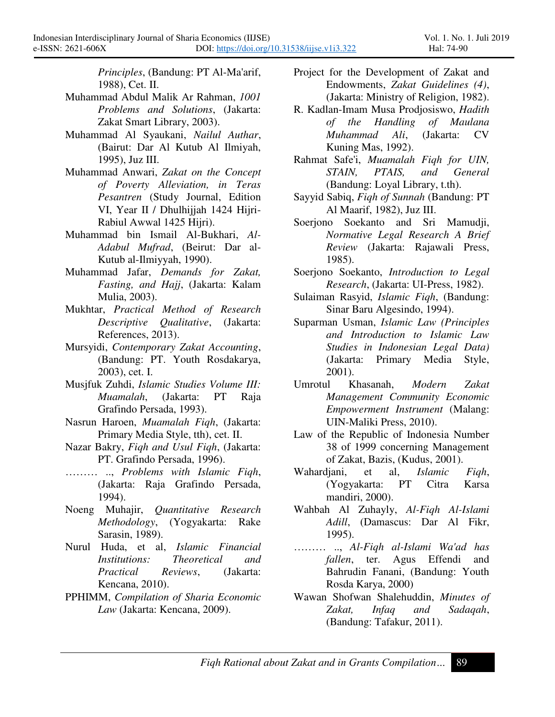*Principles*, (Bandung: PT Al-Ma'arif, 1988), Cet. II.

Muhammad Abdul Malik Ar Rahman, *1001 Problems and Solutions*, (Jakarta: Zakat Smart Library, 2003).

Ī

- Muhammad Al Syaukani, *Nailul Authar*, (Bairut: Dar Al Kutub Al Ilmiyah, 1995), Juz III.
- Muhammad Anwari, *Zakat on the Concept of Poverty Alleviation, in Teras Pesantren* (Study Journal, Edition VI, Year II / Dhulhijjah 1424 Hijri-Rabiul Awwal 1425 Hijri).
- Muhammad bin Ismail Al-Bukhari, *Al-Adabul Mufrad*, (Beirut: Dar al-Kutub al-Ilmiyyah, 1990).
- Muhammad Jafar, *Demands for Zakat, Fasting, and Hajj*, (Jakarta: Kalam Mulia, 2003).
- Mukhtar, *Practical Method of Research Descriptive Qualitative*, (Jakarta: References, 2013).
- Mursyidi, *Contemporary Zakat Accounting*, (Bandung: PT. Youth Rosdakarya, 2003), cet. I.
- Musjfuk Zuhdi, *Islamic Studies Volume III: Muamalah*, (Jakarta: PT Raja Grafindo Persada, 1993).
- Nasrun Haroen, *Muamalah Fiqh*, (Jakarta: Primary Media Style, tth), cet. II.
- Nazar Bakry, *Fiqh and Usul Fiqh*, (Jakarta: PT. Grafindo Persada, 1996).
- ......... .., *Problems with Islamic Figh*, (Jakarta: Raja Grafindo Persada, 1994).
- Noeng Muhajir, *Quantitative Research Methodology*, (Yogyakarta: Rake Sarasin, 1989).
- Nurul Huda, et al, *Islamic Financial Institutions: Theoretical and Practical Reviews*, (Jakarta: Kencana, 2010).
- PPHIMM, *Compilation of Sharia Economic Law* (Jakarta: Kencana, 2009).
- Project for the Development of Zakat and Endowments, *Zakat Guidelines (4)*, (Jakarta: Ministry of Religion, 1982).
- R. Kadlan-Imam Musa Prodjosiswo, *Hadith of the Handling of Maulana Muhammad Ali*, (Jakarta: CV Kuning Mas, 1992).
- Rahmat Safe'i, *Muamalah Fiqh for UIN, STAIN, PTAIS, and General* (Bandung: Loyal Library, t.th).
- Sayyid Sabiq, *Fiqh of Sunnah* (Bandung: PT Al Maarif, 1982), Juz III.
- Soerjono Soekanto and Sri Mamudji, *Normative Legal Research A Brief Review* (Jakarta: Rajawali Press, 1985).
- Soerjono Soekanto, *Introduction to Legal Research*, (Jakarta: UI-Press, 1982).
- Sulaiman Rasyid, *Islamic Fiqh*, (Bandung: Sinar Baru Algesindo, 1994).
- Suparman Usman, *Islamic Law (Principles and Introduction to Islamic Law Studies in Indonesian Legal Data)* (Jakarta: Primary Media Style, 2001).
- Umrotul Khasanah, *Modern Zakat Management Community Economic Empowerment Instrument* (Malang: UIN-Maliki Press, 2010).
- Law of the Republic of Indonesia Number 38 of 1999 concerning Management of Zakat, Bazis, (Kudus, 2001).
- Wahardjani, et al, *Islamic Fiqh*, (Yogyakarta: PT Citra Karsa mandiri, 2000).
- Wahbah Al Zuhayly, *Al-Fiqh Al-Islami Adill*, (Damascus: Dar Al Fikr, 1995).
- ............., Al-Figh al-Islami Wa'ad has *fallen*, ter. Agus Effendi and Bahrudin Fanani, (Bandung: Youth Rosda Karya, 2000)
- Wawan Shofwan Shalehuddin, *Minutes of Zakat, Infaq and Sadaqah*, (Bandung: Tafakur, 2011).